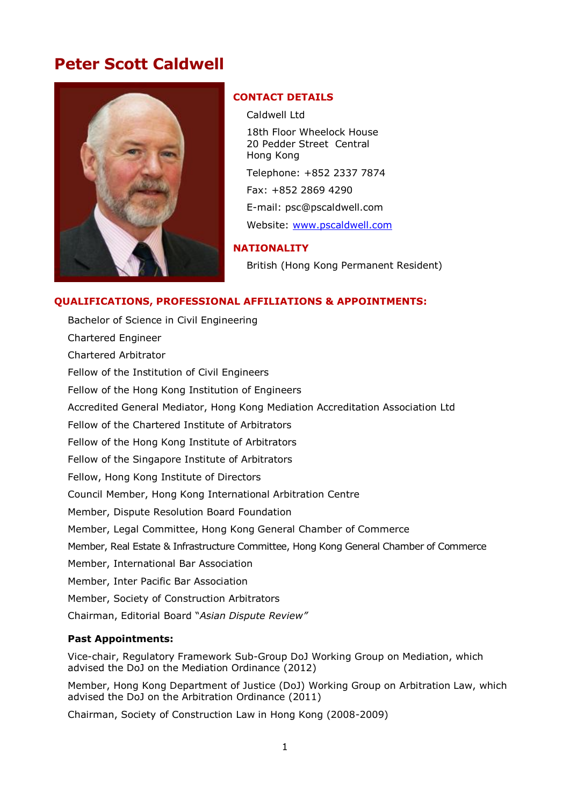# **Peter Scott Caldwell**



## **CONTACT DETAILS**

Caldwell Ltd

18th Floor Wheelock House 20 Pedder Street Central Hong Kong

Telephone: +852 2337 7874

Fax: +852 2869 4290

E-mail: psc@pscaldwell.com

Website: [www.pscaldwell.com](file:///H:/Documents/1000%20ADMINISTRATION/CVs/www.pscaldwell.com)

## **NATIONALITY**

British (Hong Kong Permanent Resident)

## **QUALIFICATIONS, PROFESSIONAL AFFILIATIONS & APPOINTMENTS:**

Bachelor of Science in Civil Engineering Chartered Engineer Chartered Arbitrator Fellow of the Institution of Civil Engineers Fellow of the Hong Kong Institution of Engineers Accredited General Mediator, Hong Kong Mediation Accreditation Association Ltd Fellow of the Chartered Institute of Arbitrators Fellow of the Hong Kong Institute of Arbitrators Fellow of the Singapore Institute of Arbitrators Fellow, Hong Kong Institute of Directors Council Member, Hong Kong International Arbitration Centre Member, Dispute Resolution Board Foundation Member, Legal Committee, Hong Kong General Chamber of Commerce Member, Real Estate & Infrastructure Committee, Hong Kong General Chamber of Commerce Member, International Bar Association Member, Inter Pacific Bar Association Member, Society of Construction Arbitrators Chairman, Editorial Board "*Asian Dispute Review"*

## **Past Appointments:**

Vice-chair, Regulatory Framework Sub-Group DoJ Working Group on Mediation, which advised the DoJ on the Mediation Ordinance (2012)

Member, Hong Kong Department of Justice (DoJ) Working Group on Arbitration Law, which advised the DoJ on the Arbitration Ordinance (2011)

Chairman, Society of Construction Law in Hong Kong (2008-2009)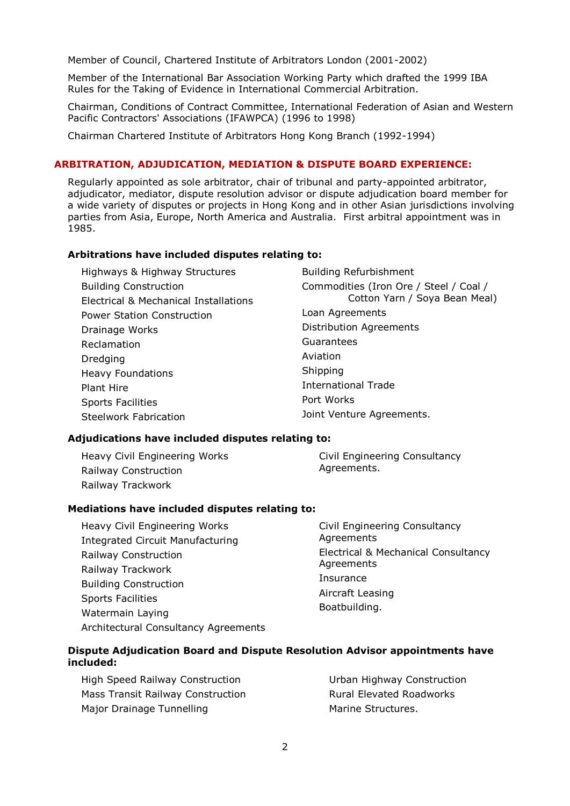Member of Council, Chartered Institute of Arbitrators London (2001-2002)

Member of the International Bar Association Working Party which drafted the 1999 IBA Rules for the Taking of Evidence in International Commercial Arbitration.

Chairman, Conditions of Contract Committee, International Federation of Asian and Western Pacific Contractors' Associations (IFAWPCA) (1996 to 1998)

Chairman Chartered Institute of Arbitrators Hong Kong Branch (1992-1994)

## **ARBITRATION, ADJUDICATION, MEDIATION & DISPUTE BOARD EXPERIENCE:**

Regularly appointed as sole arbitrator, chair of tribunal and party-appointed arbitrator, adjudicator, mediator, dispute resolution advisor or dispute adjudication board member for a wide variety of disputes or projects in Hong Kong and in other Asian jurisdictions involving parties from Asia, Europe, North America and Australia. First arbitral appointment was in 1985.

#### **Arbitrations have included disputes relating to:**

| Highways & Highway Structures         | <b>Building Refurbishment</b>          |  |
|---------------------------------------|----------------------------------------|--|
| <b>Building Construction</b>          | Commodities (Iron Ore / Steel / Coal / |  |
| Electrical & Mechanical Installations | Cotton Yarn / Soya Bean Meal)          |  |
| <b>Power Station Construction</b>     | Loan Agreements                        |  |
| Drainage Works                        | <b>Distribution Agreements</b>         |  |
| Reclamation                           | Guarantees                             |  |
| Dredging                              | Aviation                               |  |
| <b>Heavy Foundations</b>              | Shipping                               |  |
| Plant Hire                            | <b>International Trade</b>             |  |
| <b>Sports Facilities</b>              | Port Works                             |  |
| Steelwork Fabrication                 | Joint Venture Agreements.              |  |

#### **Adjudications have included disputes relating to:**

Heavy Civil Engineering Works Railway Construction Railway Trackwork

Civil Engineering Consultancy Agreements.

### **Mediations have included disputes relating to:**

Heavy Civil Engineering Works Integrated Circuit Manufacturing Railway Construction Railway Trackwork Building Construction Sports Facilities Watermain Laying Architectural Consultancy Agreements Civil Engineering Consultancy Agreements Electrical & Mechanical Consultancy Agreements Insurance Aircraft Leasing Boatbuilding.

## **Dispute Adjudication Board and Dispute Resolution Advisor appointments have included:**

High Speed Railway Construction Mass Transit Railway Construction Major Drainage Tunnelling

Urban Highway Construction Rural Elevated Roadworks Marine Structures.